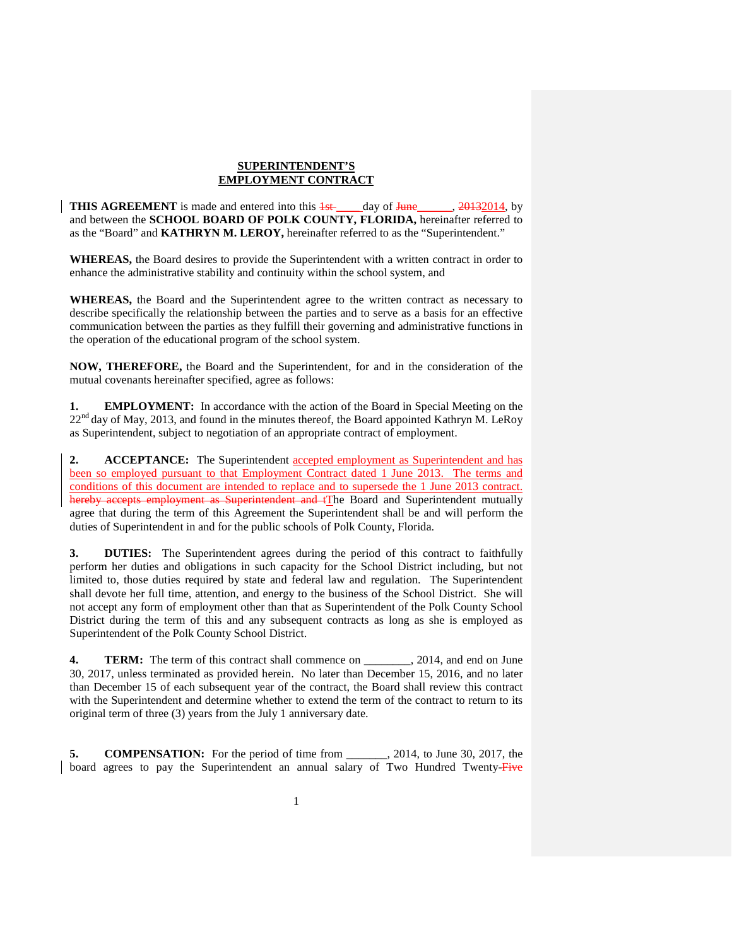## **SUPERINTENDENT'S EMPLOYMENT CONTRACT**

**THIS AGREEMENT** is made and entered into this  $\frac{1}{4}$  day of  $\frac{1}{4}$  day of  $\frac{20132014}{4}$ , by and between the **SCHOOL BOARD OF POLK COUNTY, FLORIDA,** hereinafter referred to as the "Board" and **KATHRYN M. LEROY,** hereinafter referred to as the "Superintendent."

**WHEREAS,** the Board desires to provide the Superintendent with a written contract in order to enhance the administrative stability and continuity within the school system, and

**WHEREAS,** the Board and the Superintendent agree to the written contract as necessary to describe specifically the relationship between the parties and to serve as a basis for an effective communication between the parties as they fulfill their governing and administrative functions in the operation of the educational program of the school system.

**NOW, THEREFORE,** the Board and the Superintendent, for and in the consideration of the mutual covenants hereinafter specified, agree as follows:

**1. EMPLOYMENT:** In accordance with the action of the Board in Special Meeting on the 22<sup>nd</sup> day of May, 2013, and found in the minutes thereof, the Board appointed Kathryn M. LeRoy as Superintendent, subject to negotiation of an appropriate contract of employment.

**2. ACCEPTANCE:** The Superintendent accepted employment as Superintendent and has been so employed pursuant to that Employment Contract dated 1 June 2013. The terms and conditions of this document are intended to replace and to supersede the 1 June 2013 contract. hereby accepts employment as Superintendent and tThe Board and Superintendent mutually agree that during the term of this Agreement the Superintendent shall be and will perform the duties of Superintendent in and for the public schools of Polk County, Florida.

**3. DUTIES:** The Superintendent agrees during the period of this contract to faithfully perform her duties and obligations in such capacity for the School District including, but not limited to, those duties required by state and federal law and regulation. The Superintendent shall devote her full time, attention, and energy to the business of the School District. She will not accept any form of employment other than that as Superintendent of the Polk County School District during the term of this and any subsequent contracts as long as she is employed as Superintendent of the Polk County School District.

**4. TERM:** The term of this contract shall commence on \_\_\_\_\_\_\_, 2014, and end on June 30, 2017, unless terminated as provided herein. No later than December 15, 2016, and no later than December 15 of each subsequent year of the contract, the Board shall review this contract with the Superintendent and determine whether to extend the term of the contract to return to its original term of three (3) years from the July 1 anniversary date.

**5. COMPENSATION:** For the period of time from \_\_\_\_\_\_\_, 2014, to June 30, 2017, the board agrees to pay the Superintendent an annual salary of Two Hundred Twenty-Five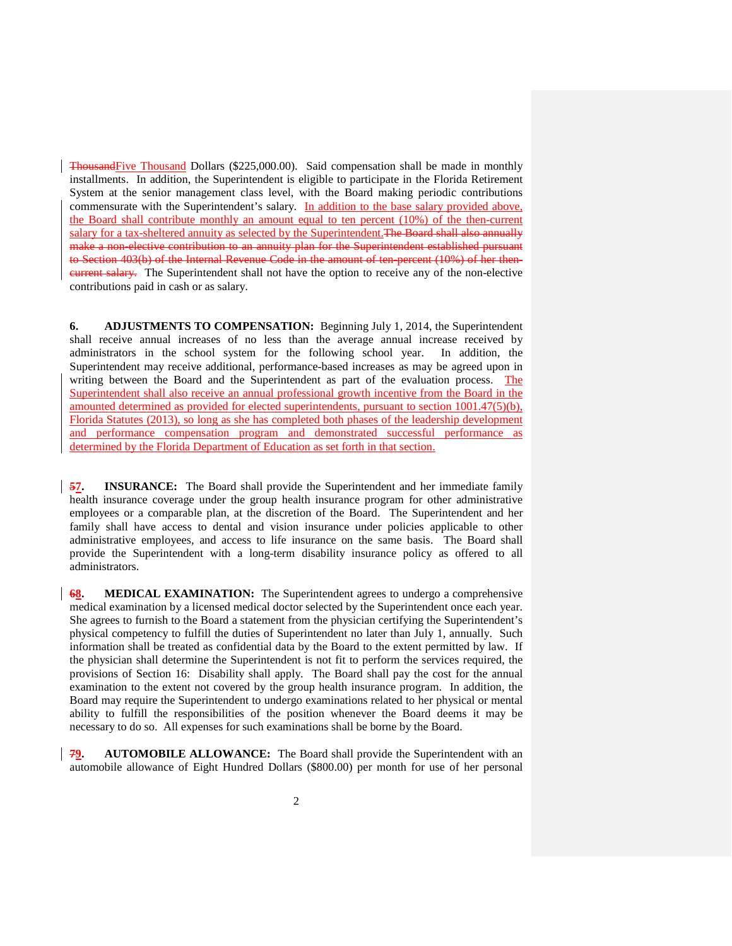ThousandFive Thousand Dollars (\$225,000.00). Said compensation shall be made in monthly installments. In addition, the Superintendent is eligible to participate in the Florida Retirement System at the senior management class level, with the Board making periodic contributions commensurate with the Superintendent's salary. In addition to the base salary provided above, the Board shall contribute monthly an amount equal to ten percent (10%) of the then-current salary for a tax-sheltered annuity as selected by the Superintendent. The Board shall also annually make a non-elective contribution to an annuity plan for the Superintendent established pursuant to Section 403(b) of the Internal Revenue Code in the amount of ten-percent (10%) of her thencurrent salary. The Superintendent shall not have the option to receive any of the non-elective contributions paid in cash or as salary.

**6. ADJUSTMENTS TO COMPENSATION:** Beginning July 1, 2014, the Superintendent shall receive annual increases of no less than the average annual increase received by administrators in the school system for the following school year. In addition, the Superintendent may receive additional, performance-based increases as may be agreed upon in writing between the Board and the Superintendent as part of the evaluation process. The Superintendent shall also receive an annual professional growth incentive from the Board in the amounted determined as provided for elected superintendents, pursuant to section 1001.47(5)(b), Florida Statutes (2013), so long as she has completed both phases of the leadership development and performance compensation program and demonstrated successful performance as determined by the Florida Department of Education as set forth in that section.

**57. INSURANCE:** The Board shall provide the Superintendent and her immediate family health insurance coverage under the group health insurance program for other administrative employees or a comparable plan, at the discretion of the Board. The Superintendent and her family shall have access to dental and vision insurance under policies applicable to other administrative employees, and access to life insurance on the same basis. The Board shall provide the Superintendent with a long-term disability insurance policy as offered to all administrators.

**68. MEDICAL EXAMINATION:** The Superintendent agrees to undergo a comprehensive medical examination by a licensed medical doctor selected by the Superintendent once each year. She agrees to furnish to the Board a statement from the physician certifying the Superintendent's physical competency to fulfill the duties of Superintendent no later than July 1, annually. Such information shall be treated as confidential data by the Board to the extent permitted by law. If the physician shall determine the Superintendent is not fit to perform the services required, the provisions of Section 16: Disability shall apply. The Board shall pay the cost for the annual examination to the extent not covered by the group health insurance program. In addition, the Board may require the Superintendent to undergo examinations related to her physical or mental ability to fulfill the responsibilities of the position whenever the Board deems it may be necessary to do so. All expenses for such examinations shall be borne by the Board.

**79. AUTOMOBILE ALLOWANCE:** The Board shall provide the Superintendent with an automobile allowance of Eight Hundred Dollars (\$800.00) per month for use of her personal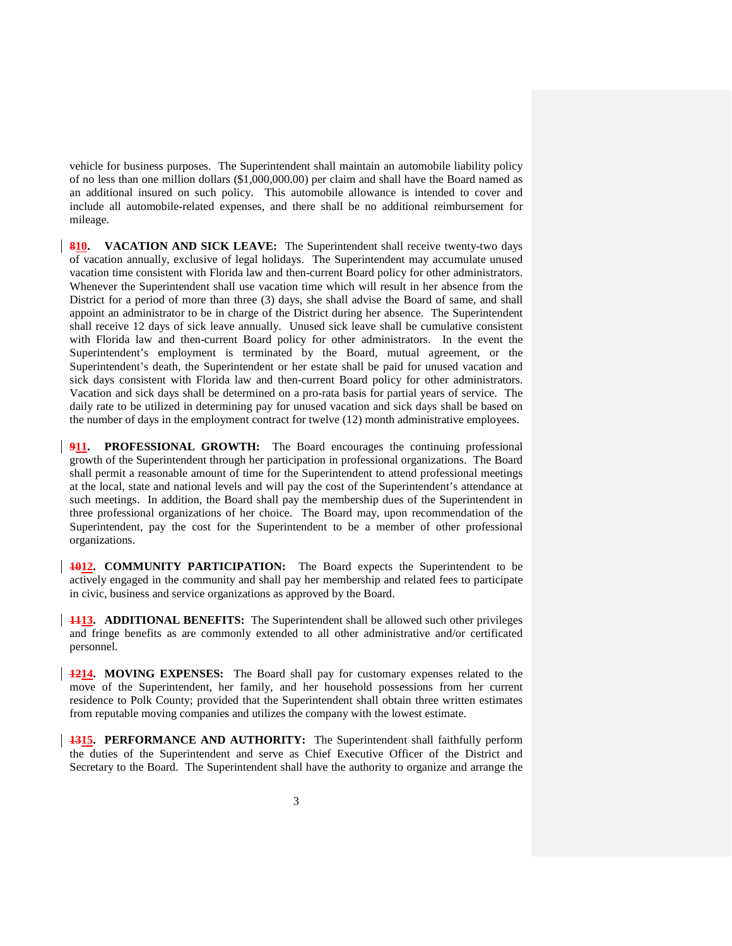vehicle for business purposes. The Superintendent shall maintain an automobile liability policy of no less than one million dollars (\$1,000,000.00) per claim and shall have the Board named as an additional insured on such policy. This automobile allowance is intended to cover and include all automobile-related expenses, and there shall be no additional reimbursement for mileage.

**810. VACATION AND SICK LEAVE:** The Superintendent shall receive twenty-two days of vacation annually, exclusive of legal holidays. The Superintendent may accumulate unused vacation time consistent with Florida law and then-current Board policy for other administrators. Whenever the Superintendent shall use vacation time which will result in her absence from the District for a period of more than three (3) days, she shall advise the Board of same, and shall appoint an administrator to be in charge of the District during her absence. The Superintendent shall receive 12 days of sick leave annually. Unused sick leave shall be cumulative consistent with Florida law and then-current Board policy for other administrators. In the event the Superintendent's employment is terminated by the Board, mutual agreement, or the Superintendent's death, the Superintendent or her estate shall be paid for unused vacation and sick days consistent with Florida law and then-current Board policy for other administrators. Vacation and sick days shall be determined on a pro-rata basis for partial years of service. The daily rate to be utilized in determining pay for unused vacation and sick days shall be based on the number of days in the employment contract for twelve (12) month administrative employees.

**911. PROFESSIONAL GROWTH:** The Board encourages the continuing professional growth of the Superintendent through her participation in professional organizations. The Board shall permit a reasonable amount of time for the Superintendent to attend professional meetings at the local, state and national levels and will pay the cost of the Superintendent's attendance at such meetings. In addition, the Board shall pay the membership dues of the Superintendent in three professional organizations of her choice. The Board may, upon recommendation of the Superintendent, pay the cost for the Superintendent to be a member of other professional organizations.

**1012. COMMUNITY PARTICIPATION:** The Board expects the Superintendent to be actively engaged in the community and shall pay her membership and related fees to participate in civic, business and service organizations as approved by the Board.

**1113. ADDITIONAL BENEFITS:** The Superintendent shall be allowed such other privileges and fringe benefits as are commonly extended to all other administrative and/or certificated personnel.

**1214. MOVING EXPENSES:** The Board shall pay for customary expenses related to the move of the Superintendent, her family, and her household possessions from her current residence to Polk County; provided that the Superintendent shall obtain three written estimates from reputable moving companies and utilizes the company with the lowest estimate.

**1315. PERFORMANCE AND AUTHORITY:** The Superintendent shall faithfully perform the duties of the Superintendent and serve as Chief Executive Officer of the District and Secretary to the Board. The Superintendent shall have the authority to organize and arrange the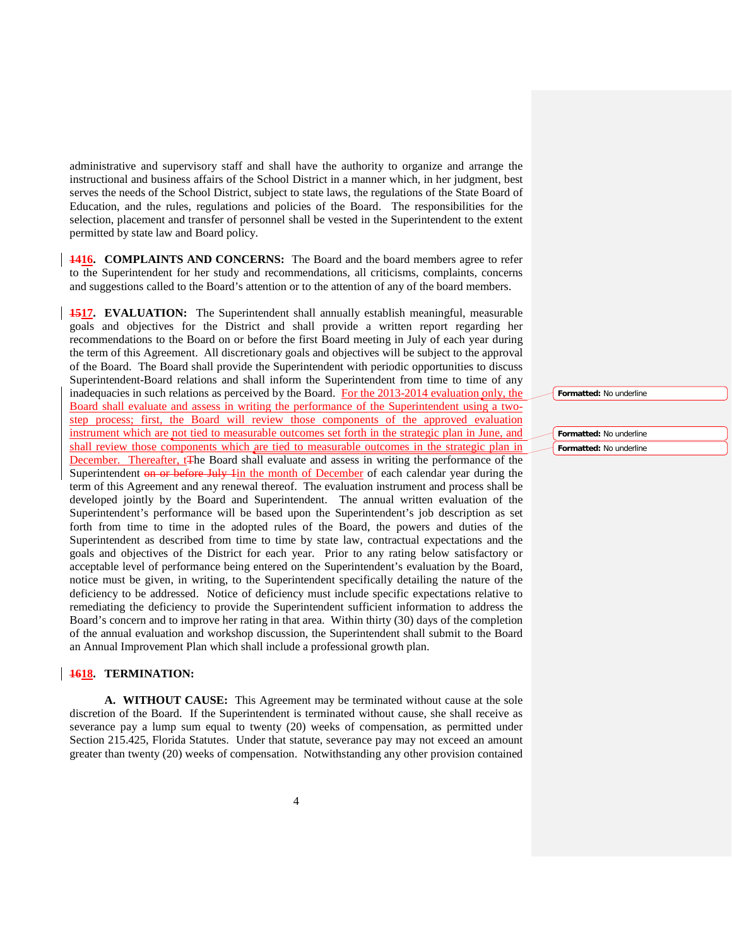administrative and supervisory staff and shall have the authority to organize and arrange the instructional and business affairs of the School District in a manner which, in her judgment, best serves the needs of the School District, subject to state laws, the regulations of the State Board of Education, and the rules, regulations and policies of the Board. The responsibilities for the selection, placement and transfer of personnel shall be vested in the Superintendent to the extent permitted by state law and Board policy.

**1416. COMPLAINTS AND CONCERNS:** The Board and the board members agree to refer to the Superintendent for her study and recommendations, all criticisms, complaints, concerns and suggestions called to the Board's attention or to the attention of any of the board members.

**1517. EVALUATION:** The Superintendent shall annually establish meaningful, measurable goals and objectives for the District and shall provide a written report regarding her recommendations to the Board on or before the first Board meeting in July of each year during the term of this Agreement. All discretionary goals and objectives will be subject to the approval of the Board. The Board shall provide the Superintendent with periodic opportunities to discuss Superintendent-Board relations and shall inform the Superintendent from time to time of any inadequacies in such relations as perceived by the Board. For the 2013-2014 evaluation only, the Board shall evaluate and assess in writing the performance of the Superintendent using a twostep process; first, the Board will review those components of the approved evaluation instrument which are not tied to measurable outcomes set forth in the strategic plan in June, and shall review those components which are tied to measurable outcomes in the strategic plan in December. Thereafter, t<sub>The Board shall evaluate and assess in writing the performance of the</sub> Superintendent on or before July 1in the month of December of each calendar year during the term of this Agreement and any renewal thereof. The evaluation instrument and process shall be developed jointly by the Board and Superintendent. The annual written evaluation of the Superintendent's performance will be based upon the Superintendent's job description as set forth from time to time in the adopted rules of the Board, the powers and duties of the Superintendent as described from time to time by state law, contractual expectations and the goals and objectives of the District for each year. Prior to any rating below satisfactory or acceptable level of performance being entered on the Superintendent's evaluation by the Board, notice must be given, in writing, to the Superintendent specifically detailing the nature of the deficiency to be addressed. Notice of deficiency must include specific expectations relative to remediating the deficiency to provide the Superintendent sufficient information to address the Board's concern and to improve her rating in that area. Within thirty (30) days of the completion of the annual evaluation and workshop discussion, the Superintendent shall submit to the Board an Annual Improvement Plan which shall include a professional growth plan.

## **1618. TERMINATION:**

**A. WITHOUT CAUSE:** This Agreement may be terminated without cause at the sole discretion of the Board. If the Superintendent is terminated without cause, she shall receive as severance pay a lump sum equal to twenty (20) weeks of compensation, as permitted under Section 215.425, Florida Statutes. Under that statute, severance pay may not exceed an amount greater than twenty (20) weeks of compensation. Notwithstanding any other provision contained **Formatted:** No underline

**Formatted:** No underline **Formatted:** No underline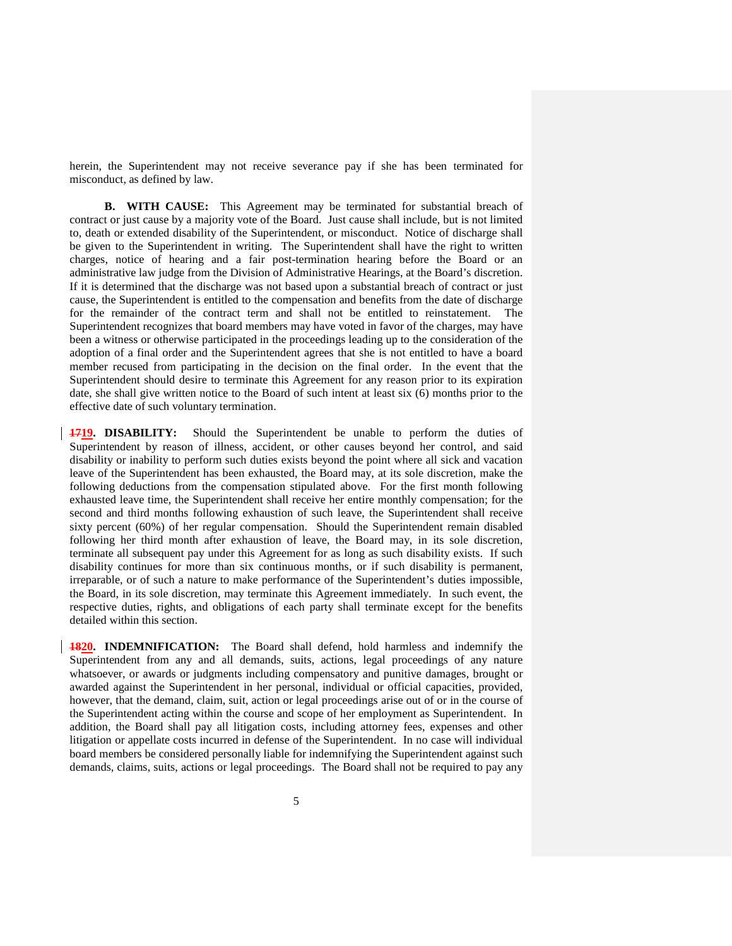herein, the Superintendent may not receive severance pay if she has been terminated for misconduct, as defined by law.

**B. WITH CAUSE:** This Agreement may be terminated for substantial breach of contract or just cause by a majority vote of the Board. Just cause shall include, but is not limited to, death or extended disability of the Superintendent, or misconduct. Notice of discharge shall be given to the Superintendent in writing. The Superintendent shall have the right to written charges, notice of hearing and a fair post-termination hearing before the Board or an administrative law judge from the Division of Administrative Hearings, at the Board's discretion. If it is determined that the discharge was not based upon a substantial breach of contract or just cause, the Superintendent is entitled to the compensation and benefits from the date of discharge for the remainder of the contract term and shall not be entitled to reinstatement. The Superintendent recognizes that board members may have voted in favor of the charges, may have been a witness or otherwise participated in the proceedings leading up to the consideration of the adoption of a final order and the Superintendent agrees that she is not entitled to have a board member recused from participating in the decision on the final order. In the event that the Superintendent should desire to terminate this Agreement for any reason prior to its expiration date, she shall give written notice to the Board of such intent at least six (6) months prior to the effective date of such voluntary termination.

**1719. DISABILITY:** Should the Superintendent be unable to perform the duties of Superintendent by reason of illness, accident, or other causes beyond her control, and said disability or inability to perform such duties exists beyond the point where all sick and vacation leave of the Superintendent has been exhausted, the Board may, at its sole discretion, make the following deductions from the compensation stipulated above. For the first month following exhausted leave time, the Superintendent shall receive her entire monthly compensation; for the second and third months following exhaustion of such leave, the Superintendent shall receive sixty percent (60%) of her regular compensation. Should the Superintendent remain disabled following her third month after exhaustion of leave, the Board may, in its sole discretion, terminate all subsequent pay under this Agreement for as long as such disability exists. If such disability continues for more than six continuous months, or if such disability is permanent, irreparable, or of such a nature to make performance of the Superintendent's duties impossible, the Board, in its sole discretion, may terminate this Agreement immediately. In such event, the respective duties, rights, and obligations of each party shall terminate except for the benefits detailed within this section.

**1820. INDEMNIFICATION:** The Board shall defend, hold harmless and indemnify the Superintendent from any and all demands, suits, actions, legal proceedings of any nature whatsoever, or awards or judgments including compensatory and punitive damages, brought or awarded against the Superintendent in her personal, individual or official capacities, provided, however, that the demand, claim, suit, action or legal proceedings arise out of or in the course of the Superintendent acting within the course and scope of her employment as Superintendent. In addition, the Board shall pay all litigation costs, including attorney fees, expenses and other litigation or appellate costs incurred in defense of the Superintendent. In no case will individual board members be considered personally liable for indemnifying the Superintendent against such demands, claims, suits, actions or legal proceedings. The Board shall not be required to pay any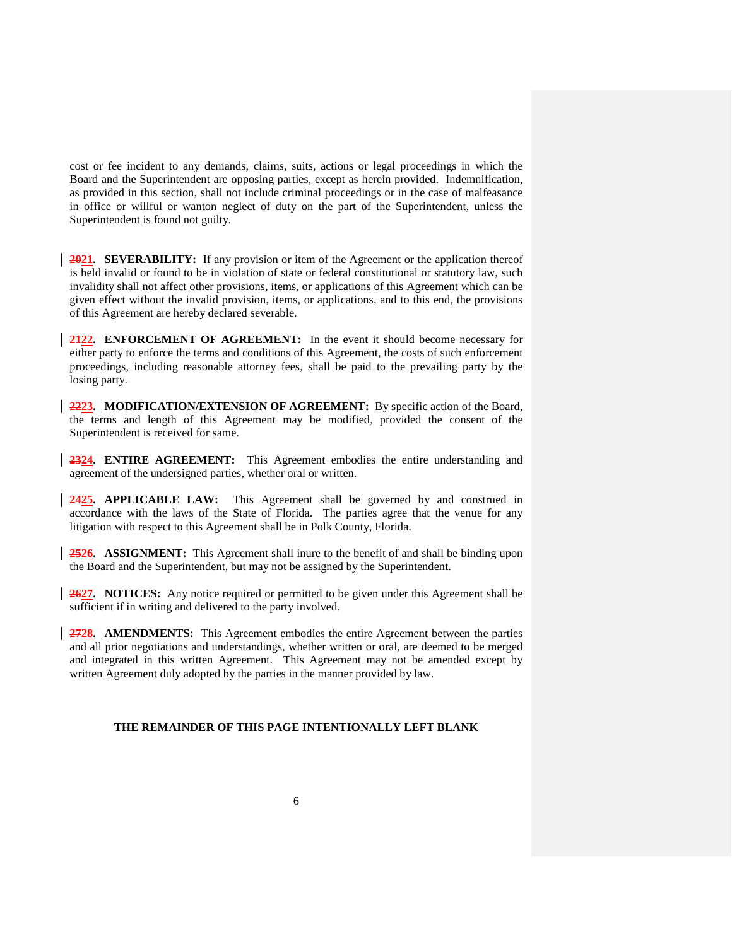cost or fee incident to any demands, claims, suits, actions or legal proceedings in which the Board and the Superintendent are opposing parties, except as herein provided. Indemnification, as provided in this section, shall not include criminal proceedings or in the case of malfeasance in office or willful or wanton neglect of duty on the part of the Superintendent, unless the Superintendent is found not guilty.

**2021. SEVERABILITY:** If any provision or item of the Agreement or the application thereof is held invalid or found to be in violation of state or federal constitutional or statutory law, such invalidity shall not affect other provisions, items, or applications of this Agreement which can be given effect without the invalid provision, items, or applications, and to this end, the provisions of this Agreement are hereby declared severable.

**2122. ENFORCEMENT OF AGREEMENT:** In the event it should become necessary for either party to enforce the terms and conditions of this Agreement, the costs of such enforcement proceedings, including reasonable attorney fees, shall be paid to the prevailing party by the losing party.

**2223. MODIFICATION/EXTENSION OF AGREEMENT:** By specific action of the Board, the terms and length of this Agreement may be modified, provided the consent of the Superintendent is received for same.

**2324. ENTIRE AGREEMENT:** This Agreement embodies the entire understanding and agreement of the undersigned parties, whether oral or written.

**2425. APPLICABLE LAW:** This Agreement shall be governed by and construed in accordance with the laws of the State of Florida. The parties agree that the venue for any litigation with respect to this Agreement shall be in Polk County, Florida.

**2526. ASSIGNMENT:** This Agreement shall inure to the benefit of and shall be binding upon the Board and the Superintendent, but may not be assigned by the Superintendent.

**2627. NOTICES:** Any notice required or permitted to be given under this Agreement shall be sufficient if in writing and delivered to the party involved.

**2728. AMENDMENTS:** This Agreement embodies the entire Agreement between the parties and all prior negotiations and understandings, whether written or oral, are deemed to be merged and integrated in this written Agreement. This Agreement may not be amended except by written Agreement duly adopted by the parties in the manner provided by law.

## **THE REMAINDER OF THIS PAGE INTENTIONALLY LEFT BLANK**